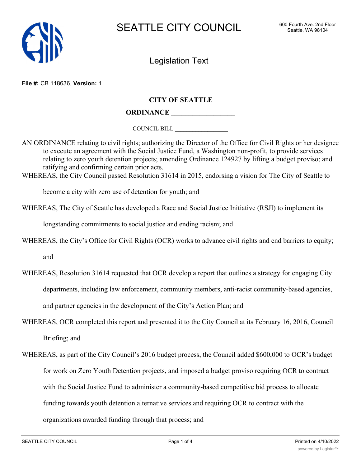

Legislation Text

**File #:** CB 118636, **Version:** 1

## **CITY OF SEATTLE**

## **ORDINANCE \_\_\_\_\_\_\_\_\_\_\_\_\_\_\_\_\_\_**

COUNCIL BILL \_\_\_\_\_\_\_\_\_\_\_\_\_\_\_\_\_\_

AN ORDINANCE relating to civil rights; authorizing the Director of the Office for Civil Rights or her designee to execute an agreement with the Social Justice Fund, a Washington non-profit, to provide services relating to zero youth detention projects; amending Ordinance 124927 by lifting a budget proviso; and ratifying and confirming certain prior acts.

WHEREAS, the City Council passed Resolution 31614 in 2015, endorsing a vision for The City of Seattle to

become a city with zero use of detention for youth; and

WHEREAS, The City of Seattle has developed a Race and Social Justice Initiative (RSJI) to implement its

longstanding commitments to social justice and ending racism; and

WHEREAS, the City's Office for Civil Rights (OCR) works to advance civil rights and end barriers to equity;

and

- WHEREAS, Resolution 31614 requested that OCR develop a report that outlines a strategy for engaging City departments, including law enforcement, community members, anti-racist community-based agencies, and partner agencies in the development of the City's Action Plan; and
- WHEREAS, OCR completed this report and presented it to the City Council at its February 16, 2016, Council Briefing; and
- WHEREAS, as part of the City Council's 2016 budget process, the Council added \$600,000 to OCR's budget for work on Zero Youth Detention projects, and imposed a budget proviso requiring OCR to contract with the Social Justice Fund to administer a community-based competitive bid process to allocate funding towards youth detention alternative services and requiring OCR to contract with the organizations awarded funding through that process; and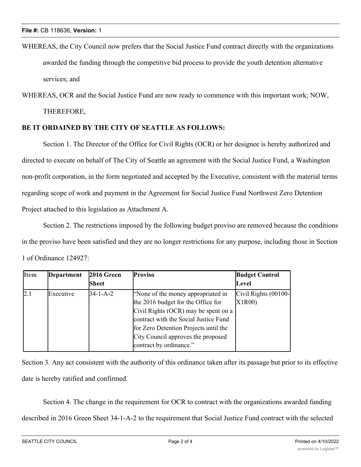WHEREAS, the City Council now prefers that the Social Justice Fund contract directly with the organizations awarded the funding through the competitive bid process to provide the youth detention alternative services; and

WHEREAS, OCR and the Social Justice Fund are now ready to commence with this important work; NOW, THEREFORE,

## **BE IT ORDAINED BY THE CITY OF SEATTLE AS FOLLOWS:**

Section 1. The Director of the Office for Civil Rights (OCR) or her designee is hereby authorized and directed to execute on behalf of The City of Seattle an agreement with the Social Justice Fund, a Washington non-profit corporation, in the form negotiated and accepted by the Executive, consistent with the material terms regarding scope of work and payment in the Agreement for Social Justice Fund Northwest Zero Detention Project attached to this legislation as Attachment A.

Section 2. The restrictions imposed by the following budget proviso are removed because the conditions in the proviso have been satisfied and they are no longer restrictions for any purpose, including those in Section 1 of Ordinance 124927:

| <b>Item</b> | <b>Department</b> | 2016 Green<br>Sheet | <b>Proviso</b>                                                                                                                                                                                                                                                      | <b>Budget Control</b><br>Level |
|-------------|-------------------|---------------------|---------------------------------------------------------------------------------------------------------------------------------------------------------------------------------------------------------------------------------------------------------------------|--------------------------------|
| 2.1         | Executive         | $34 - 1 - A - 2$    | "None of the money appropriated in<br>the 2016 budget for the Office for<br>Civil Rights (OCR) may be spent on a<br>contract with the Social Justice Fund<br>for Zero Detention Projects until the<br>City Council approves the proposed<br>contract by ordinance." | Civil Rights (00100-<br>X1R00) |

Section 3. Any act consistent with the authority of this ordinance taken after its passage but prior to its effective date is hereby ratified and confirmed.

Section 4. The change in the requirement for OCR to contract with the organizations awarded funding described in 2016 Green Sheet 34-1-A-2 to the requirement that Social Justice Fund contract with the selected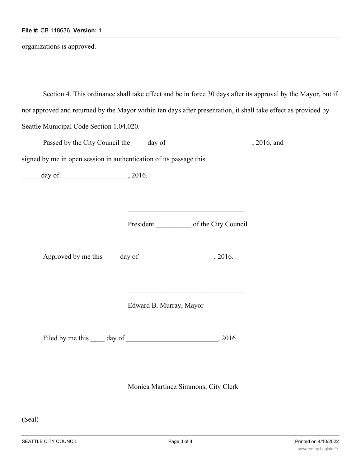organizations is approved.

Section 4. This ordinance shall take effect and be in force 30 days after its approval by the Mayor, but if not approved and returned by the Mayor within ten days after presentation, it shall take effect as provided by Seattle Municipal Code Section 1.04.020.

| Passed by the City Council the | day of | . 2016, and |
|--------------------------------|--------|-------------|
|--------------------------------|--------|-------------|

signed by me in open session in authentication of its passage this

\_\_\_\_\_ day of \_\_\_\_\_\_\_\_\_\_\_\_\_\_\_\_\_\_\_, 2016.

President of the City Council

Approved by me this \_\_\_\_ day of \_\_\_\_\_\_\_\_\_\_\_\_\_\_\_\_\_, 2016.

Edward B. Murray, Mayor

Filed by me this \_\_\_\_ day of \_\_\_\_\_\_\_\_\_\_\_\_\_\_\_\_\_\_\_\_\_\_\_, 2016.

Monica Martinez Simmons, City Clerk

(Seal)